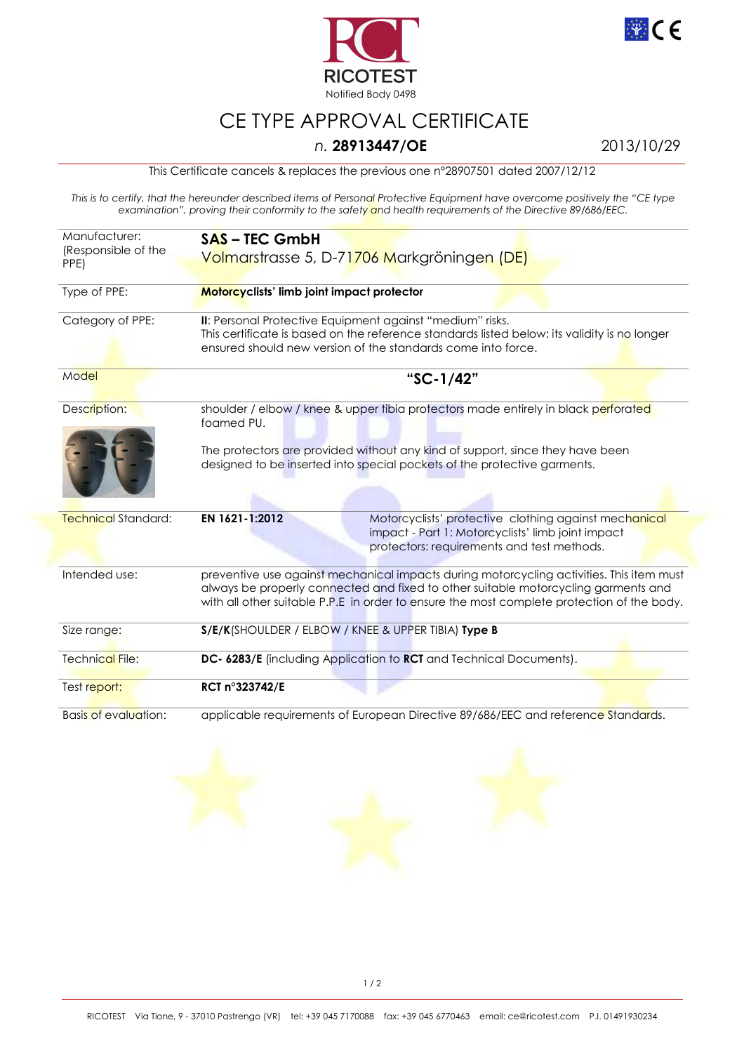



## CE TYPE APPROVAL CERTIFICATE

## *n.* **28913447/OE** 2013/10/29

This Certificate cancels & replaces the previous one n°28907501 dated 2007/12/12

*This is to certify, that the hereunder described items of Personal Protective Equipment have overcome positively the "CE type examination", proving their conformity to the safety and health requirements of the Directive 89/686/EEC.* 

| Manufacturer:<br>(Responsible of the<br>PPE) | <b>SAS-TEC GmbH</b><br>Volmarstrasse 5, D-71706 Markgröningen (DE)                                                                                                                                                                                                           |
|----------------------------------------------|------------------------------------------------------------------------------------------------------------------------------------------------------------------------------------------------------------------------------------------------------------------------------|
| Type of PPE:                                 | Motorcyclists' limb joint impact protector                                                                                                                                                                                                                                   |
| Category of PPE:                             | II: Personal Protective Equipment against "medium" risks.<br>This certificate is based on the reference standards listed below: its validity is no longer<br>ensured should new version of the standards come into force.                                                    |
| Model                                        | "SC-1/42"                                                                                                                                                                                                                                                                    |
| Description:                                 | shoulder / elbow / knee & upper tibia protectors made entirely in black perforated<br>foamed PU.                                                                                                                                                                             |
|                                              | The protectors are provided without any kind of support, since they have been<br>designed to be inserted into special pockets of the protective garments.                                                                                                                    |
| <b>Technical Standard:</b>                   | EN 1621-1:2012<br>Motorcyclists' protective clothing against mechanical<br>impact - Part 1: Motorcyclists' limb joint impact<br>protectors: requirements and test methods.                                                                                                   |
| Intended use:                                | preventive use against mechanical impacts during motorcycling activities. This item must<br>always be properly connected and fixed to other suitable motorcycling garments and<br>with all other suitable P.P.E in order to ensure the most complete protection of the body. |
| Size range:                                  | S/E/K(SHOULDER / ELBOW / KNEE & UPPER TIBIA) Type B                                                                                                                                                                                                                          |
| Technical File:                              | DC- 6283/E (including Application to RCT and Technical Documents).                                                                                                                                                                                                           |
| Test report:                                 | RCT n°323742/E                                                                                                                                                                                                                                                               |
| <b>Basis of evaluation:</b>                  | applicable requirements of European Directive 89/686/EEC and reference Standards.                                                                                                                                                                                            |